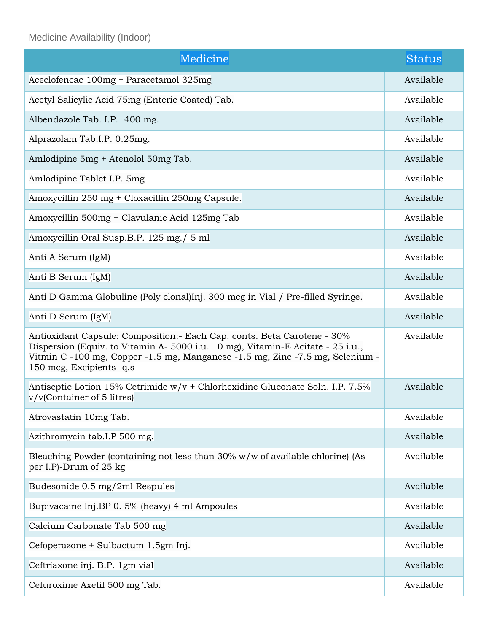Medicine Availability (Indoor)

| Medicine                                                                                                                                                                                                                                                                 | <b>Status</b> |
|--------------------------------------------------------------------------------------------------------------------------------------------------------------------------------------------------------------------------------------------------------------------------|---------------|
| Aceclofencac 100mg + Paracetamol 325mg                                                                                                                                                                                                                                   | Available     |
| Acetyl Salicylic Acid 75mg (Enteric Coated) Tab.                                                                                                                                                                                                                         | Available     |
| Albendazole Tab. I.P. 400 mg.                                                                                                                                                                                                                                            | Available     |
| Alprazolam Tab.I.P. 0.25mg.                                                                                                                                                                                                                                              | Available     |
| Amlodipine 5mg + Atenolol 50mg Tab.                                                                                                                                                                                                                                      | Available     |
| Amlodipine Tablet I.P. 5mg                                                                                                                                                                                                                                               | Available     |
| Amoxycillin 250 mg + Cloxacillin 250mg Capsule.                                                                                                                                                                                                                          | Available     |
| Amoxycillin 500mg + Clavulanic Acid 125mg Tab                                                                                                                                                                                                                            | Available     |
| Amoxycillin Oral Susp.B.P. 125 mg./ 5 ml                                                                                                                                                                                                                                 | Available     |
| Anti A Serum (IgM)                                                                                                                                                                                                                                                       | Available     |
| Anti B Serum (IgM)                                                                                                                                                                                                                                                       | Available     |
| Anti D Gamma Globuline (Poly clonal)Inj. 300 mcg in Vial / Pre-filled Syringe.                                                                                                                                                                                           | Available     |
| Anti D Serum (IgM)                                                                                                                                                                                                                                                       | Available     |
| Antioxidant Capsule: Composition: - Each Cap. conts. Beta Carotene - 30%<br>Dispersion (Equiv. to Vitamin A- 5000 i.u. 10 mg), Vitamin-E Acitate - 25 i.u.,<br>Vitmin C -100 mg, Copper -1.5 mg, Manganese -1.5 mg, Zinc -7.5 mg, Selenium -<br>150 mcg, Excipients -q.s | Available     |
| Antiseptic Lotion 15% Cetrimide w/v + Chlorhexidine Gluconate Soln. I.P. 7.5%<br>v/v(Container of 5 litres)                                                                                                                                                              | Available     |
| Atrovastatin 10mg Tab.                                                                                                                                                                                                                                                   | Available     |
| Azithromycin tab.I.P 500 mg.                                                                                                                                                                                                                                             | Available     |
| Bleaching Powder (containing not less than 30% w/w of available chlorine) (As<br>per I.P)-Drum of 25 kg                                                                                                                                                                  | Available     |
| Budesonide 0.5 mg/2ml Respules                                                                                                                                                                                                                                           | Available     |
| Bupivacaine Inj.BP 0. 5% (heavy) 4 ml Ampoules                                                                                                                                                                                                                           | Available     |
| Calcium Carbonate Tab 500 mg                                                                                                                                                                                                                                             | Available     |
| Cefoperazone + Sulbactum 1.5gm Inj.                                                                                                                                                                                                                                      | Available     |
| Ceftriaxone inj. B.P. 1gm vial                                                                                                                                                                                                                                           | Available     |
| Cefuroxime Axetil 500 mg Tab.                                                                                                                                                                                                                                            | Available     |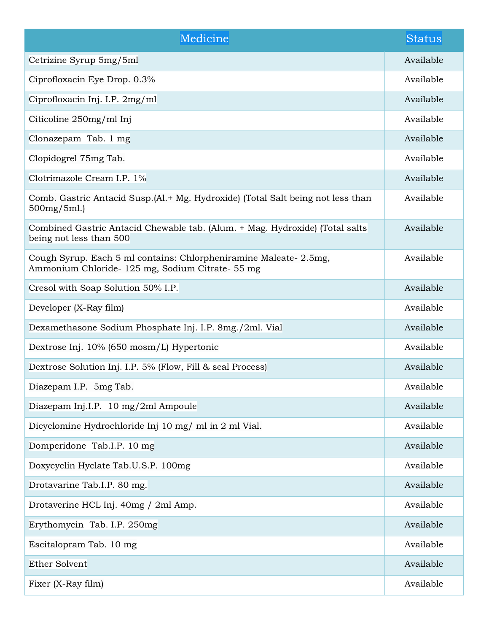| Medicine                                                                                                             | Status    |
|----------------------------------------------------------------------------------------------------------------------|-----------|
| Cetrizine Syrup 5mg/5ml                                                                                              | Available |
| Ciprofloxacin Eye Drop. 0.3%                                                                                         | Available |
| Ciprofloxacin Inj. I.P. 2mg/ml                                                                                       | Available |
| Citicoline 250mg/ml Inj                                                                                              | Available |
| Clonazepam Tab. 1 mg                                                                                                 | Available |
| Clopidogrel 75mg Tab.                                                                                                | Available |
| Clotrimazole Cream I.P. 1%                                                                                           | Available |
| Comb. Gastric Antacid Susp. (Al. + Mg. Hydroxide) (Total Salt being not less than<br>$500mg/5ml$ .)                  | Available |
| Combined Gastric Antacid Chewable tab. (Alum. + Mag. Hydroxide) (Total salts<br>being not less than 500              | Available |
| Cough Syrup. Each 5 ml contains: Chlorpheniramine Maleate-2.5mg,<br>Ammonium Chloride- 125 mg, Sodium Citrate- 55 mg | Available |
| Cresol with Soap Solution 50% I.P.                                                                                   | Available |
| Developer (X-Ray film)                                                                                               | Available |
| Dexamethasone Sodium Phosphate Inj. I.P. 8mg./2ml. Vial                                                              | Available |
| Dextrose Inj. 10% (650 mosm/L) Hypertonic                                                                            | Available |
| Dextrose Solution Inj. I.P. 5% (Flow, Fill & seal Process)                                                           | Available |
| Diazepam I.P. 5mg Tab.                                                                                               | Available |
| Diazepam Inj.I.P. 10 mg/2ml Ampoule                                                                                  | Available |
| Dicyclomine Hydrochloride Inj 10 mg/ ml in 2 ml Vial.                                                                | Available |
| Domperidone Tab.I.P. 10 mg                                                                                           | Available |
| Doxycyclin Hyclate Tab.U.S.P. 100mg                                                                                  | Available |
| Drotavarine Tab.I.P. 80 mg.                                                                                          | Available |
| Drotaverine HCL Inj. 40mg / 2ml Amp.                                                                                 | Available |
| Erythomycin Tab. I.P. 250mg                                                                                          | Available |
| Escitalopram Tab. 10 mg                                                                                              | Available |
| <b>Ether Solvent</b>                                                                                                 | Available |
| Fixer (X-Ray film)                                                                                                   | Available |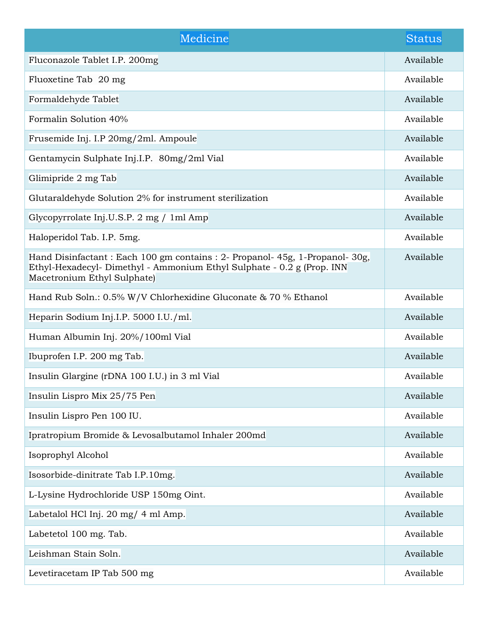| Medicine                                                                                                                                                                           | Status    |
|------------------------------------------------------------------------------------------------------------------------------------------------------------------------------------|-----------|
| Fluconazole Tablet I.P. 200mg                                                                                                                                                      | Available |
| Fluoxetine Tab 20 mg                                                                                                                                                               | Available |
| Formaldehyde Tablet                                                                                                                                                                | Available |
| Formalin Solution 40%                                                                                                                                                              | Available |
| Frusemide Inj. I.P 20mg/2ml. Ampoule                                                                                                                                               | Available |
| Gentamycin Sulphate Inj.I.P. 80mg/2ml Vial                                                                                                                                         | Available |
| Glimipride 2 mg Tab                                                                                                                                                                | Available |
| Glutaraldehyde Solution 2% for instrument sterilization                                                                                                                            | Available |
| Glycopyrrolate Inj.U.S.P. 2 mg / 1ml Amp                                                                                                                                           | Available |
| Haloperidol Tab. I.P. 5mg.                                                                                                                                                         | Available |
| Hand Disinfactant: Each 100 gm contains: 2- Propanol-45g, 1-Propanol-30g,<br>Ethyl-Hexadecyl- Dimethyl - Ammonium Ethyl Sulphate - 0.2 g (Prop. INN<br>Macetronium Ethyl Sulphate) | Available |
| Hand Rub Soln.: 0.5% W/V Chlorhexidine Gluconate & 70 % Ethanol                                                                                                                    | Available |
| Heparin Sodium Inj.I.P. 5000 I.U./ml.                                                                                                                                              | Available |
| Human Albumin Inj. 20%/100ml Vial                                                                                                                                                  | Available |
| Ibuprofen I.P. 200 mg Tab.                                                                                                                                                         | Available |
| Insulin Glargine (rDNA 100 I.U.) in 3 ml Vial                                                                                                                                      | Available |
| Insulin Lispro Mix 25/75 Pen                                                                                                                                                       | Available |
| Insulin Lispro Pen 100 IU.                                                                                                                                                         | Available |
| Ipratropium Bromide & Levosalbutamol Inhaler 200md                                                                                                                                 | Available |
| Isoprophyl Alcohol                                                                                                                                                                 | Available |
| Isosorbide-dinitrate Tab I.P.10mg.                                                                                                                                                 | Available |
| L-Lysine Hydrochloride USP 150mg Oint.                                                                                                                                             | Available |
| Labetalol HCl Inj. 20 mg/ 4 ml Amp.                                                                                                                                                | Available |
| Labetetol 100 mg. Tab.                                                                                                                                                             | Available |
| Leishman Stain Soln.                                                                                                                                                               | Available |
| Levetiracetam IP Tab 500 mg                                                                                                                                                        | Available |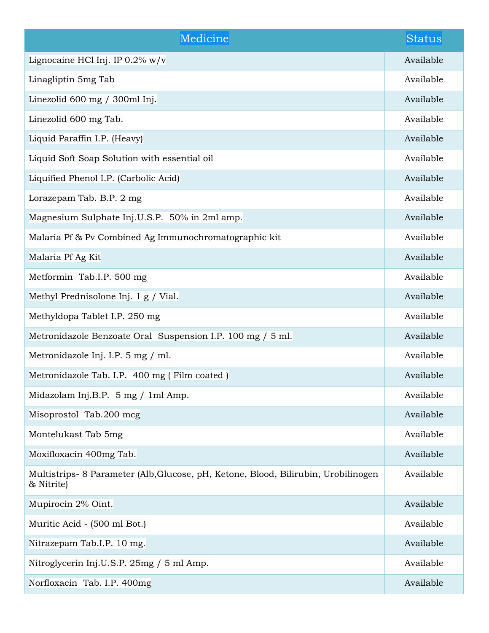| Medicine                                                                                         | Status    |
|--------------------------------------------------------------------------------------------------|-----------|
| Lignocaine HCl Inj. IP 0.2% w/v                                                                  | Available |
| Linagliptin 5mg Tab                                                                              | Available |
| Linezolid 600 mg / 300ml Inj.                                                                    | Available |
| Linezolid 600 mg Tab.                                                                            | Available |
| Liquid Paraffin I.P. (Heavy)                                                                     | Available |
| Liquid Soft Soap Solution with essential oil                                                     | Available |
| Liquified Phenol I.P. (Carbolic Acid)                                                            | Available |
| Lorazepam Tab. B.P. 2 mg                                                                         | Available |
| Magnesium Sulphate Inj.U.S.P. 50% in 2ml amp.                                                    | Available |
| Malaria Pf & Pv Combined Ag Immunochromatographic kit                                            | Available |
| Malaria Pf Ag Kit                                                                                | Available |
| Metformin Tab.I.P. 500 mg                                                                        | Available |
| Methyl Prednisolone Inj. 1 g / Vial.                                                             | Available |
| Methyldopa Tablet I.P. 250 mg                                                                    | Available |
| Metronidazole Benzoate Oral Suspension I.P. 100 mg / 5 ml.                                       | Available |
| Metronidazole Inj. I.P. 5 mg / ml.                                                               | Available |
| Metronidazole Tab. I.P. 400 mg (Film coated)                                                     | Available |
| Midazolam Inj.B.P. 5 mg / 1ml Amp.                                                               | Available |
| Misoprostol Tab.200 mcg                                                                          | Available |
| Montelukast Tab 5mg                                                                              | Available |
| Moxifloxacin 400mg Tab.                                                                          | Available |
| Multistrips- 8 Parameter (Alb, Glucose, pH, Ketone, Blood, Bilirubin, Urobilinogen<br>& Nitrite) | Available |
| Mupirocin 2% Oint.                                                                               | Available |
| Muritic Acid - (500 ml Bot.)                                                                     | Available |
| Nitrazepam Tab.I.P. 10 mg.                                                                       | Available |
| Nitroglycerin Inj.U.S.P. 25mg / 5 ml Amp.                                                        | Available |
| Norfloxacin Tab. I.P. 400mg                                                                      | Available |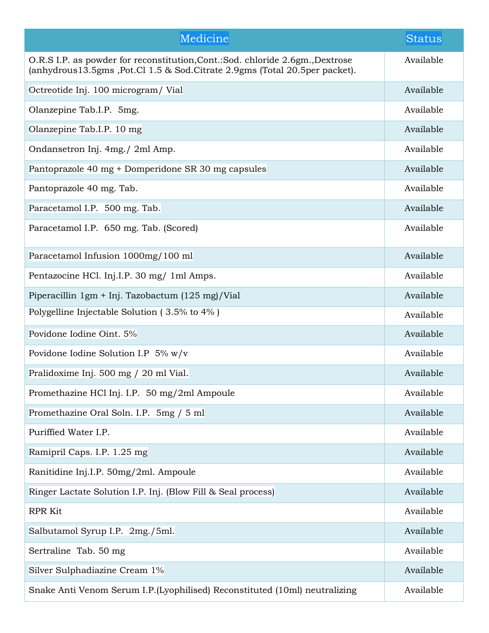| Medicine                                                                                                                                                               | <b>Status</b> |
|------------------------------------------------------------------------------------------------------------------------------------------------------------------------|---------------|
| O.R.S I.P. as powder for reconstitution, Cont.: Sod. chloride 2.6gm., Dextrose<br>(anhydrous $13.5$ gms, Pot.Cl $1.5$ & Sod. Citrate 2.9gms (Total $20.5$ per packet). | Available     |
| Octreotide Inj. 100 microgram/ Vial                                                                                                                                    | Available     |
| Olanzepine Tab.I.P. 5mg.                                                                                                                                               | Available     |
| Olanzepine Tab.I.P. 10 mg                                                                                                                                              | Available     |
| Ondansetron Inj. 4mg./ 2ml Amp.                                                                                                                                        | Available     |
| Pantoprazole 40 mg + Domperidone SR 30 mg capsules                                                                                                                     | Available     |
| Pantoprazole 40 mg. Tab.                                                                                                                                               | Available     |
| Paracetamol I.P. 500 mg. Tab.                                                                                                                                          | Available     |
| Paracetamol I.P. 650 mg. Tab. (Scored)                                                                                                                                 | Available     |
| Paracetamol Infusion 1000mg/100 ml                                                                                                                                     | Available     |
| Pentazocine HCl. Inj.I.P. 30 mg/ 1ml Amps.                                                                                                                             | Available     |
| Piperacillin 1gm + Inj. Tazobactum (125 mg)/Vial                                                                                                                       | Available     |
| Polygelline Injectable Solution (3.5% to 4%)                                                                                                                           | Available     |
| Povidone Iodine Oint. 5%                                                                                                                                               | Available     |
| Povidone Iodine Solution I.P $5\%$ w/v                                                                                                                                 | Available     |
| Pralidoxime Inj. 500 mg / 20 ml Vial.                                                                                                                                  | Available     |
| Promethazine HCl Inj. I.P. 50 mg/2ml Ampoule                                                                                                                           | Available     |
| Promethazine Oral Soln. I.P. 5mg / 5 ml                                                                                                                                | Available     |
| Puriffied Water I.P.                                                                                                                                                   | Available     |
| Ramipril Caps. I.P. 1.25 mg                                                                                                                                            | Available     |
| Ranitidine Inj.I.P. 50mg/2ml. Ampoule                                                                                                                                  | Available     |
| Ringer Lactate Solution I.P. Inj. (Blow Fill & Seal process)                                                                                                           | Available     |
| <b>RPR Kit</b>                                                                                                                                                         | Available     |
| Salbutamol Syrup I.P. 2mg./5ml.                                                                                                                                        | Available     |
| Sertraline Tab. 50 mg                                                                                                                                                  | Available     |
| Silver Sulphadiazine Cream 1%                                                                                                                                          | Available     |
| Snake Anti Venom Serum I.P. (Lyophilised) Reconstituted (10ml) neutralizing                                                                                            | Available     |